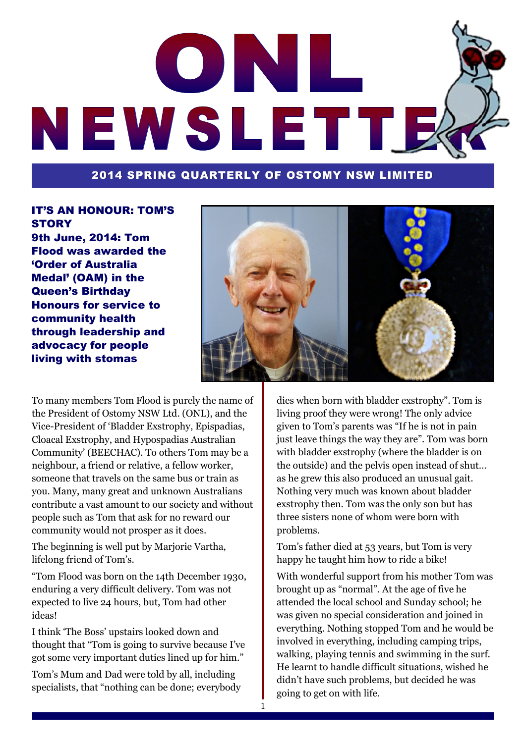# ONI NEWSLETTE

#### 2014 SPRING QUARTERLY OF OSTOMY NSW LIMITED

1

#### IT'S AN HONOUR: TOM'S **STORY**

9th June, 2014: Tom Flood was awarded the 'Order of Australia Medal' (OAM) in the Queen's Birthday Honours for service to community health through leadership and advocacy for people living with stomas



To many members Tom Flood is purely the name of the President of Ostomy NSW Ltd. (ONL), and the Vice-President of 'Bladder Exstrophy, Epispadias, Cloacal Exstrophy, and Hypospadias Australian Community' (BEECHAC). To others Tom may be a neighbour, a friend or relative, a fellow worker, someone that travels on the same bus or train as you. Many, many great and unknown Australians contribute a vast amount to our society and without people such as Tom that ask for no reward our community would not prosper as it does.

The beginning is well put by Marjorie Vartha, lifelong friend of Tom's.

―Tom Flood was born on the 14th December 1930, enduring a very difficult delivery. Tom was not expected to live 24 hours, but, Tom had other ideas!

I think ‗The Boss' upstairs looked down and thought that "Tom is going to survive because I've got some very important duties lined up for him."

Tom's Mum and Dad were told by all, including specialists, that "nothing can be done; everybody"

dies when born with bladder exstrophy". Tom is living proof they were wrong! The only advice given to Tom's parents was "If he is not in pain just leave things the way they are". Tom was born with bladder exstrophy (where the bladder is on the outside) and the pelvis open instead of shut… as he grew this also produced an unusual gait. Nothing very much was known about bladder exstrophy then. Tom was the only son but has three sisters none of whom were born with problems.

Tom's father died at 53 years, but Tom is very happy he taught him how to ride a bike!

With wonderful support from his mother Tom was brought up as "normal". At the age of five he attended the local school and Sunday school; he was given no special consideration and joined in everything. Nothing stopped Tom and he would be involved in everything, including camping trips, walking, playing tennis and swimming in the surf. He learnt to handle difficult situations, wished he didn't have such problems, but decided he was going to get on with life.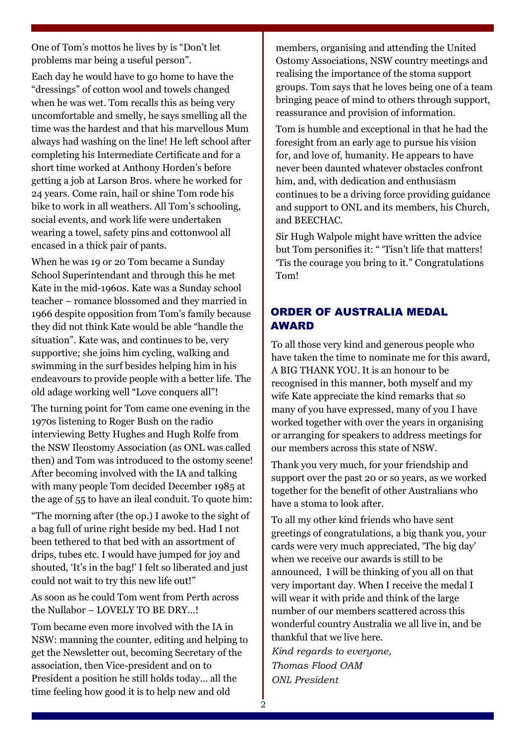One of Tom's mottos he lives by is "Don't let problems mar being a useful person".

Each day he would have to go home to have the ―dressings‖ of cotton wool and towels changed when he was wet. Tom recalls this as being very uncomfortable and smelly, he says smelling all the time was the hardest and that his marvellous Mum always had washing on the line! He left school after completing his Intermediate Certificate and for a short time worked at Anthony Horden's before getting a job at Larson Bros. where he worked for 24 years. Come rain, hail or shine Tom rode his bike to work in all weathers. All Tom's schooling, social events, and work life were undertaken wearing a towel, safety pins and cottonwool all encased in a thick pair of pants.

When he was 19 or 20 Tom became a Sunday School Superintendant and through this he met Kate in the mid-1960s. Kate was a Sunday school teacher – romance blossomed and they married in 1966 despite opposition from Tom's family because they did not think Kate would be able "handle the situation". Kate was, and continues to be, very supportive; she joins him cycling, walking and swimming in the surf besides helping him in his endeavours to provide people with a better life. The old adage working well "Love conquers all"!

The turning point for Tom came one evening in the 1970s listening to Roger Bush on the radio interviewing Betty Hughes and Hugh Rolfe from the NSW Ileostomy Association (as ONL was called then) and Tom was introduced to the ostomy scene! After becoming involved with the IA and talking with many people Tom decided December 1985 at the age of 55 to have an ileal conduit. To quote him:

―The morning after (the op.) I awoke to the sight of a bag full of urine right beside my bed. Had I not been tethered to that bed with an assortment of drips, tubes etc. I would have jumped for joy and shouted, 'It's in the bag!' I felt so liberated and just could not wait to try this new life out!"

As soon as he could Tom went from Perth across the Nullabor – LOVELY TO BE DRY…!

Tom became even more involved with the IA in NSW: manning the counter, editing and helping to get the Newsletter out, becoming Secretary of the association, then Vice-president and on to President a position he still holds today… all the time feeling how good it is to help new and old

members, organising and attending the United Ostomy Associations, NSW country meetings and realising the importance of the stoma support groups. Tom says that he loves being one of a team bringing peace of mind to others through support, reassurance and provision of information.

Tom is humble and exceptional in that he had the foresight from an early age to pursue his vision for, and love of, humanity. He appears to have never been daunted whatever obstacles confront him, and, with dedication and enthusiasm continues to be a driving force providing guidance and support to ONL and its members, his Church, and BEECHAC.

Sir Hugh Walpole might have written the advice but Tom personifies it: " 'Tisn't life that matters! Tis the courage you bring to it." Congratulations Tom!

#### ORDER OF AUSTRALIA MEDAL AWARD

To all those very kind and generous people who have taken the time to nominate me for this award, A BIG THANK YOU. It is an honour to be recognised in this manner, both myself and my wife Kate appreciate the kind remarks that so many of you have expressed, many of you I have worked together with over the years in organising or arranging for speakers to address meetings for our members across this state of NSW.

Thank you very much, for your friendship and support over the past 20 or so years, as we worked together for the benefit of other Australians who have a stoma to look after.

To all my other kind friends who have sent greetings of congratulations, a big thank you, your cards were very much appreciated, 'The big day' when we receive our awards is still to be announced, I will be thinking of you all on that very important day. When I receive the medal I will wear it with pride and think of the large number of our members scattered across this wonderful country Australia we all live in, and be thankful that we live here.

*Kind regards to everyone, Thomas Flood OAM ONL President*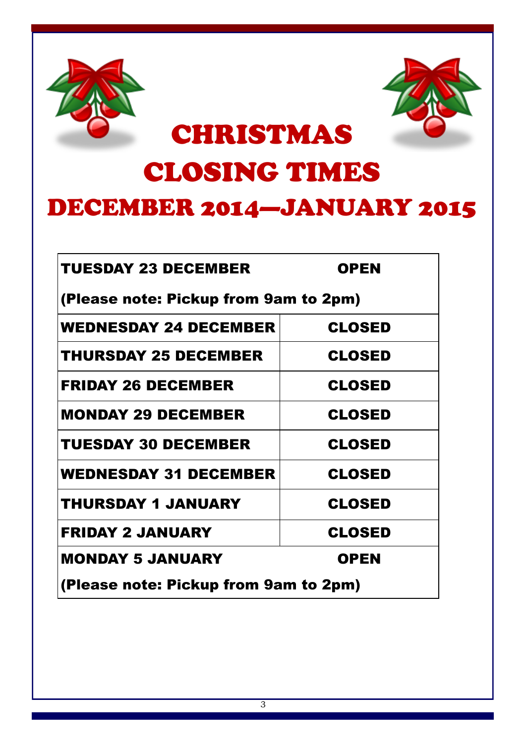



## CHRISTMAS

## CLOSING TIMES

### DECEMBER 2014—JANUARY 2015

| <b>TUESDAY 23 DECEMBER</b>            | <b>OPEN</b>   |
|---------------------------------------|---------------|
| (Please note: Pickup from 9am to 2pm) |               |
| <b>WEDNESDAY 24 DECEMBER</b>          | <b>CLOSED</b> |
| <b>THURSDAY 25 DECEMBER</b>           | <b>CLOSED</b> |
| <b>FRIDAY 26 DECEMBER</b>             | <b>CLOSED</b> |
| <b>MONDAY 29 DECEMBER</b>             | <b>CLOSED</b> |
| <b>TUESDAY 30 DECEMBER</b>            | <b>CLOSED</b> |
| <b>WEDNESDAY 31 DECEMBER</b>          | <b>CLOSED</b> |
| <b>THURSDAY 1 JANUARY</b>             | <b>CLOSED</b> |
| <b>FRIDAY 2 JANUARY</b>               | <b>CLOSED</b> |
| <b>MONDAY 5 JANUARY</b>               | <b>OPEN</b>   |
| (Please note: Pickup from 9am to 2pm) |               |